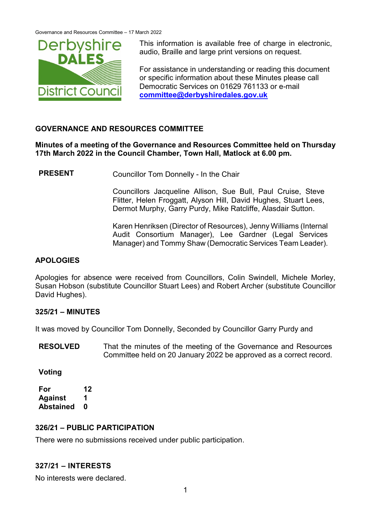

This information is available free of charge in electronic, audio, Braille and large print versions on request.

For assistance in understanding or reading this document or specific information about these Minutes please call Democratic Services on 01629 761133 or e-mail **[committee@derbyshiredales.gov.uk](mailto:committee@derbyshiredales.gov.uk)**

## **GOVERNANCE AND RESOURCES COMMITTEE**

### **Minutes of a meeting of the Governance and Resources Committee held on Thursday 17th March 2022 in the Council Chamber, Town Hall, Matlock at 6.00 pm.**

**PRESENT** Councillor Tom Donnelly - In the Chair

Councillors Jacqueline Allison, Sue Bull, Paul Cruise, Steve Flitter, Helen Froggatt, Alyson Hill, David Hughes, Stuart Lees, Dermot Murphy, Garry Purdy, Mike Ratcliffe, Alasdair Sutton.

Karen Henriksen (Director of Resources), Jenny Williams (Internal Audit Consortium Manager), Lee Gardner (Legal Services Manager) and Tommy Shaw (Democratic Services Team Leader).

### **APOLOGIES**

Apologies for absence were received from Councillors, Colin Swindell, Michele Morley, Susan Hobson (substitute Councillor Stuart Lees) and Robert Archer (substitute Councillor David Hughes).

### **325/21 – MINUTES**

It was moved by Councillor Tom Donnelly, Seconded by Councillor Garry Purdy and

**RESOLVED** That the minutes of the meeting of the Governance and Resources Committee held on 20 January 2022 be approved as a correct record.

**Voting**

**For 12 Against 1 Abstained 0**

### **326/21 – PUBLIC PARTICIPATION**

There were no submissions received under public participation.

# **327/21 – INTERESTS**

No interests were declared.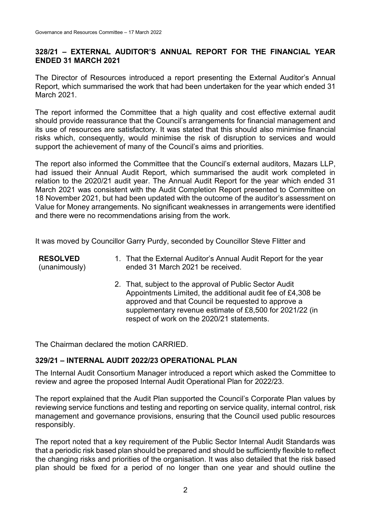## **328/21 – EXTERNAL AUDITOR'S ANNUAL REPORT FOR THE FINANCIAL YEAR ENDED 31 MARCH 2021**

The Director of Resources introduced a report presenting the External Auditor's Annual Report, which summarised the work that had been undertaken for the year which ended 31 March 2021.

The report informed the Committee that a high quality and cost effective external audit should provide reassurance that the Council's arrangements for financial management and its use of resources are satisfactory. It was stated that this should also minimise financial risks which, consequently, would minimise the risk of disruption to services and would support the achievement of many of the Council's aims and priorities.

The report also informed the Committee that the Council's external auditors, Mazars LLP, had issued their Annual Audit Report, which summarised the audit work completed in relation to the 2020/21 audit year. The Annual Audit Report for the year which ended 31 March 2021 was consistent with the Audit Completion Report presented to Committee on 18 November 2021, but had been updated with the outcome of the auditor's assessment on Value for Money arrangements. No significant weaknesses in arrangements were identified and there were no recommendations arising from the work.

It was moved by Councillor Garry Purdy, seconded by Councillor Steve Flitter and

**RESOLVED** (unanimously)

- 1. That the External Auditor's Annual Audit Report for the year ended 31 March 2021 be received.
- 2. That, subject to the approval of Public Sector Audit Appointments Limited, the additional audit fee of £4,308 be approved and that Council be requested to approve a supplementary revenue estimate of £8,500 for 2021/22 (in respect of work on the 2020/21 statements.

The Chairman declared the motion CARRIED.

# **329/21 – INTERNAL AUDIT 2022/23 OPERATIONAL PLAN**

The Internal Audit Consortium Manager introduced a report which asked the Committee to review and agree the proposed Internal Audit Operational Plan for 2022/23.

The report explained that the Audit Plan supported the Council's Corporate Plan values by reviewing service functions and testing and reporting on service quality, internal control, risk management and governance provisions, ensuring that the Council used public resources responsibly.

The report noted that a key requirement of the Public Sector Internal Audit Standards was that a periodic risk based plan should be prepared and should be sufficiently flexible to reflect the changing risks and priorities of the organisation. It was also detailed that the risk based plan should be fixed for a period of no longer than one year and should outline the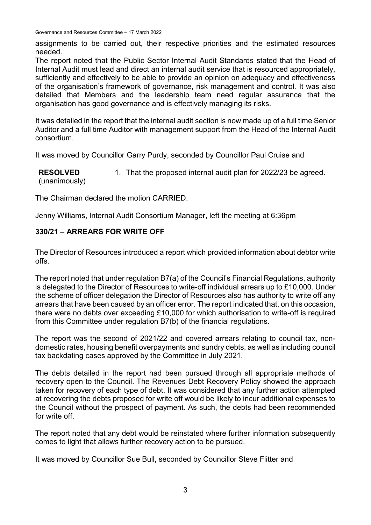Governance and Resources Committee – 17 March 2022

assignments to be carried out, their respective priorities and the estimated resources needed.

The report noted that the Public Sector Internal Audit Standards stated that the Head of Internal Audit must lead and direct an internal audit service that is resourced appropriately, sufficiently and effectively to be able to provide an opinion on adequacy and effectiveness of the organisation's framework of governance, risk management and control. It was also detailed that Members and the leadership team need regular assurance that the organisation has good governance and is effectively managing its risks.

It was detailed in the report that the internal audit section is now made up of a full time Senior Auditor and a full time Auditor with management support from the Head of the Internal Audit consortium.

It was moved by Councillor Garry Purdy, seconded by Councillor Paul Cruise and

**RESOLVED** (unanimously) 1. That the proposed internal audit plan for 2022/23 be agreed.

The Chairman declared the motion CARRIED.

Jenny Williams, Internal Audit Consortium Manager, left the meeting at 6:36pm

## **330/21 – ARREARS FOR WRITE OFF**

The Director of Resources introduced a report which provided information about debtor write offs.

The report noted that under regulation B7(a) of the Council's Financial Regulations, authority is delegated to the Director of Resources to write-off individual arrears up to £10,000. Under the scheme of officer delegation the Director of Resources also has authority to write off any arrears that have been caused by an officer error. The report indicated that, on this occasion, there were no debts over exceeding £10,000 for which authorisation to write-off is required from this Committee under regulation B7(b) of the financial regulations.

The report was the second of 2021/22 and covered arrears relating to council tax, nondomestic rates, housing benefit overpayments and sundry debts, as well as including council tax backdating cases approved by the Committee in July 2021.

The debts detailed in the report had been pursued through all appropriate methods of recovery open to the Council. The Revenues Debt Recovery Policy showed the approach taken for recovery of each type of debt. It was considered that any further action attempted at recovering the debts proposed for write off would be likely to incur additional expenses to the Council without the prospect of payment. As such, the debts had been recommended for write off.

The report noted that any debt would be reinstated where further information subsequently comes to light that allows further recovery action to be pursued.

It was moved by Councillor Sue Bull, seconded by Councillor Steve Flitter and